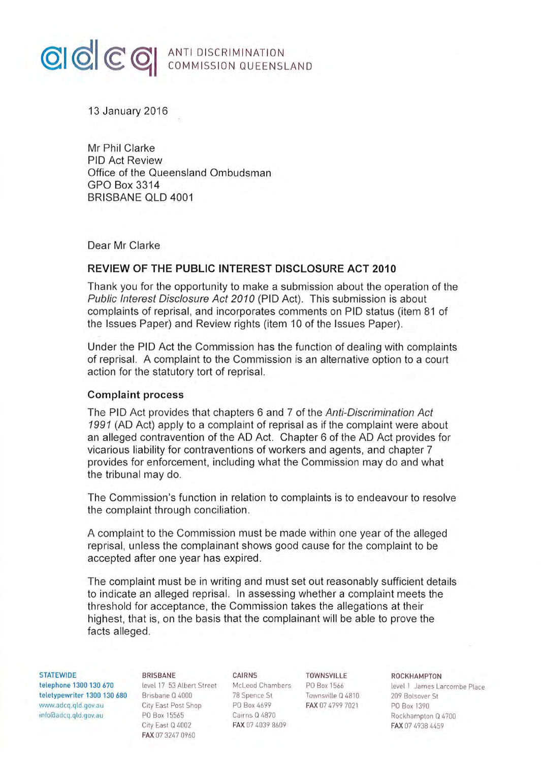# **CICC** C **MANTI DISCRIMINATION**

13 January 2016

Mr Phil Clarke PIO Act Review Office of the Queensland Ombudsman GPO Box 3314 BRISBANE OLD 4001

Dear Mr Clarke

### **REVIEW OF THE PUBLIC INTEREST DISCLOSURE ACT 2010**

Thank you for the opportunity to make a submission about the operation of the Public Interest Disclosure Act 2010 (PIO Act). This submission is about complaints of reprisal, and incorporates comments on PIO status (item 81 of the Issues Paper) and Review rights (item 10 of the Issues Paper).

Under the PIO Act the Commission has the function of dealing with complaints of reprisal. A complaint to the Commission is an alternative option to a court action for the statutory tort of reprisal.

#### **Complaint process**

The PIO Act provides that chapters 6 and 7 of the Anti-Discrimination Act 1991 (AD Act) apply to a complaint of reprisal as if the complaint were about an alleged contravention of the AD Act. Chapter 6 of the AD Act provides for vicarious liability for contraventions of workers and agents, and chapter 7 provides for enforcement, including what the Commission may do and what the tribunal may do.

The Commission's function in relation to complaints is to endeavour to resolve the complaint through conciliation.

A complaint to the Commission must be made within one year of the alleged reprisal, unless the complainant shows good cause for the complaint to be accepted after one year has expired.

The complaint must be in writing and must set out reasonably sufficient details to indicate an alleged reprisal. In assessing whether a complaint meets the threshold for acceptance, the Commission takes the allegations at their highest, that is, on the basis that the complainant will be able to prove the facts alleged.

STATEWIDE BRISBANE CAIRNS TOWNSVILLE ROCKHAMPTON<br>
telephone 1300 130 670 level 17 53 Albert Street McLeod Chambers PO Box 1566 level 1 James La teletypewriter 1300 130 680 Brisbane Q 4000 78 Spence St Townsville Q4810 209 Bolsove r St www.adcq.qld.gov.au City East Post Shop PO Box 4699 FAX 07 4799 7021 PO Box 1390 1nfofaadcq.qld.gov.au PO Box 15565 Cairns Q 4870 Rockhampton Q 4700

City East Q 4002 FAX 07 4039 8609 FAX 07 4938 4459 FAX 07 3247 0960

level 17 53 Albert Street McLeod Chambers PO Box 1566 level 1 James Larcombe Place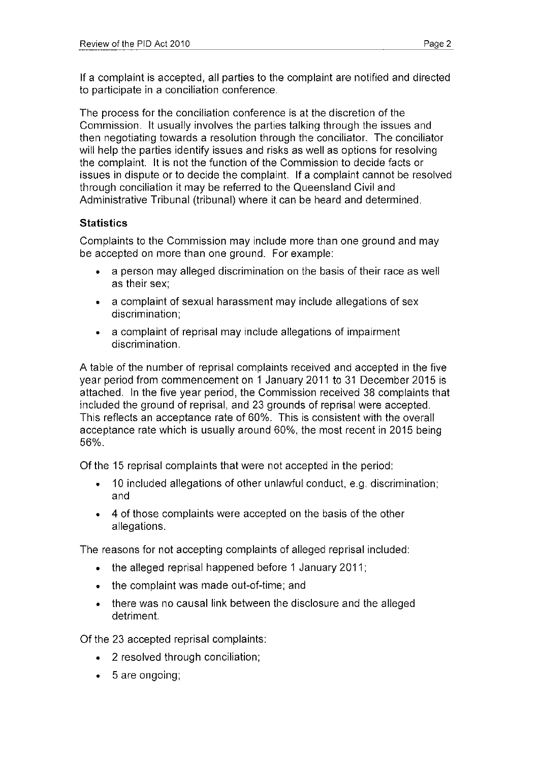If a complaint is accepted, all parties to the complaint are notified and directed to participate in a conciliation conference.

The process for the conciliation conference is at the discretion of the Commission. It usually involves the parties talking through the issues and then negotiating towards a resolution through the conciliator. The conciliator will help the parties identify issues and risks as well as options for resolving the complaint. It is not the function of the Commission to decide facts or issues in dispute or to decide the complaint. If a complaint cannot be resolved through conciliation it may be referred to the Queensland Civil and Administrative Tribunal (tribunal) where it can be heard and determined.

### **Statistics**

Complaints to the Commission may include more than one ground and may be accepted on more than one ground. For example:

- a person may alleged discrimination on the basis of their race as well as their sex;
- a complaint of sexual harassment may include allegations of sex discrimination;
- a complaint of reprisal may include allegations of impairment discrimination.

A table of the number of reprisal complaints received and accepted in the five year period from commencement on 1January2011 to 31 December 2015 is attached. In the five year period, the Commission received 38 complaints that included the ground of reprisal, and 23 grounds of reprisal were accepted. This reflects an acceptance rate of 60%. This is consistent with the overall acceptance rate which is usually around 60%, the most recent in 2015 being 56%.

Of the 15 reprisal complaints that were not accepted in the period:

- 10 included allegations of other unlawful conduct, e.g. discrimination; and
- 4 of those complaints were accepted on the basis of the other allegations.

The reasons for not accepting complaints of alleged reprisal included:

- the alleged reprisal happened before 1 January 2011;
- the complaint was made out-of-time; and
- there was no causal link between the disclosure and the alleged detriment.

Of the 23 accepted reprisal complaints:

- 2 resolved through conciliation;
- 5 are ongoing;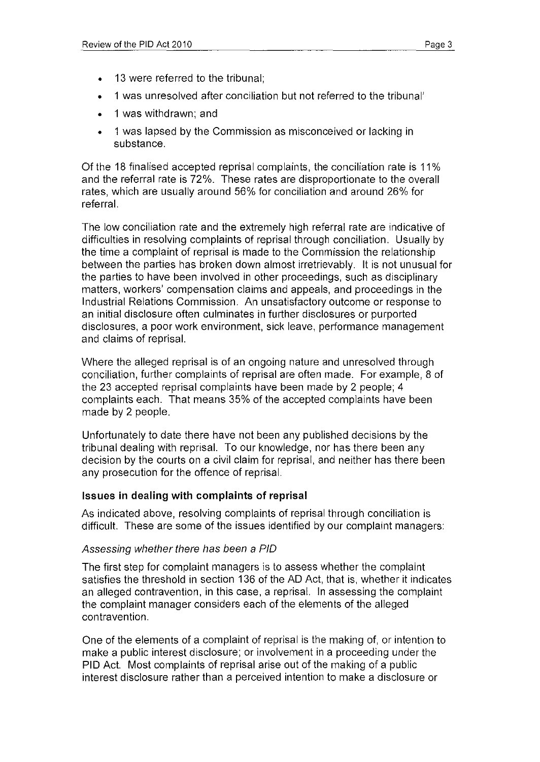- 13 were referred to the tribunal;
- 1 was unresolved after conciliation but not referred to the tribunal'
- 1 was withdrawn; and
- 1 was lapsed by the Commission as misconceived or lacking in substance.

Of the 18 finalised accepted reprisal complaints, the conciliation rate is 11 % and the referral rate is 72%. These rates are disproportionate to the overall rates, which are usually around 56% for conciliation and around 26% for referral.

The low conciliation rate and the extremely high referral rate are indicative of difficulties in resolving complaints of reprisal through conciliation. Usually by the time a complaint of reprisal is made to the Commission the relationship between the parties has broken down almost irretrievably. It is not unusual for the parties to have been involved in other proceedings, such as disciplinary matters, workers' compensation claims and appeals, and proceedings in the Industrial Relations Commission. An unsatisfactory outcome or response to an initial disclosure often culminates in further disclosures or purported disclosures, a poor work environment, sick leave, performance management and claims of reprisal.

Where the alleged reprisal is of an ongoing nature and unresolved through conciliation, further complaints of reprisal are often made. For example, 8 of the 23 accepted reprisal complaints have been made by 2 people; 4 complaints each. That means 35% of the accepted complaints have been made by 2 people.

Unfortunately to date there have not been any published decisions by the tribunal dealing with reprisal. To our knowledge, nor has there been any decision by the courts on a civil claim for reprisal, and neither has there been any prosecution for the offence of reprisal.

### **Issues in dealing with complaints of reprisal**

As indicated above, resolving complaints of reprisal through conciliation is difficult. These are some of the issues identified by our complaint managers:

### Assessing whether there has been a PIO

The first step for complaint managers is to assess whether the complaint satisfies the threshold in section 136 of the AD Act, that is, whether it indicates an alleged contravention, in this case, a reprisal. In assessing the complaint the complaint manager considers each of the elements of the alleged contravention.

One of the elements of a complaint of reprisal is the making of, or intention to make a public interest disclosure; or involvement in a proceeding under the PIO Act. Most complaints of reprisal arise out of the making of a public interest disclosure rather than a perceived intention to make a disclosure or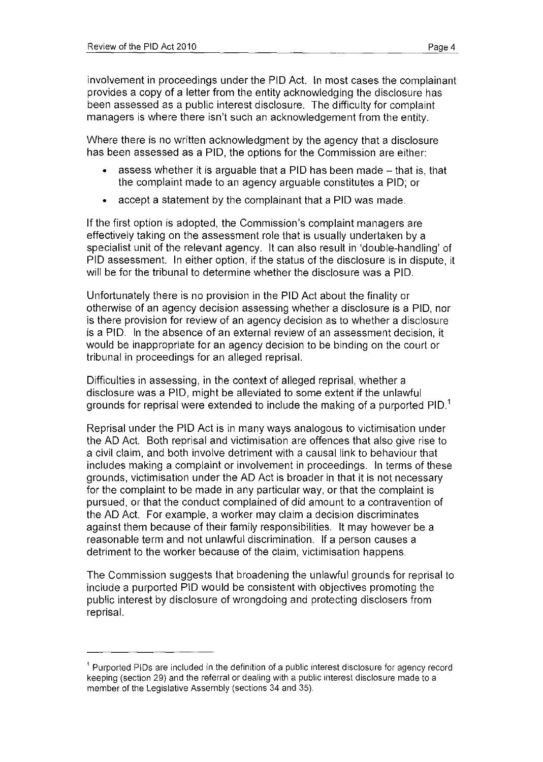involvement in proceedings under the PIO Act. In most cases the complainant provides a copy of a letter from the entity acknowledging the disclosure has been assessed as a public interest disclosure. The difficulty for complaint managers is where there isn't such an acknowledgement from the entity.

Where there is no written acknowledgment by the agency that a disclosure has been assessed as a PIO, the options for the Commission are either:

- $\bullet$  assess whether it is arguable that a PID has been made  $-$  that is, that the complaint made to an agency arguable constitutes a PIO; or
- accept a statement by the complainant that a PIO was made.

If the first option is adopted, the Commission's complaint managers are effectively taking on the assessment role that is usually undertaken by a specialist unit of the relevant agency. It can also result in 'double-handling' of PIO assessment. In either option, if the status of the disclosure is in dispute, it will be for the tribunal to determine whether the disclosure was a PIO.

Unfortunately there is no provision in the PIO Act about the finality or otherwise of an agency decision assessing whether a disclosure is a PIO, nor is there provision for review of an agency decision as to whether a disclosure is a PIO. In the absence of an external review of an assessment decision, it would be inappropriate for an agency decision to be binding on the court or tribunal in proceedings for an alleged reprisal.

Difficulties in assessing, in the context of alleged reprisal, whether a disclosure was a PIO, might be alleviated to some extent if the unlawful grounds for reprisal were extended to include the making of a purported  $PID<sup>1</sup>$ 

Reprisal under the PIO Act is in many ways analogous to victimisation under the AD Act. Both reprisal and victimisation are offences that also give rise to a civil claim, and both involve detriment with a causal link to behaviour that includes making a complaint or involvement in proceedings. In terms of these grounds, victimisation under the AD Act is broader in that it is not necessary for the complaint to be made in any particular way, or that the complaint is pursued, or that the conduct complained of did amount to a contravention of the AD Act. For example, a worker may claim a decision discriminates against them because of their family responsibilities. It may however be a reasonable term and not unlawful discrimination. If a person causes a detriment to the worker because of the claim, victimisation happens.

The Commission suggests that broadening the unlawful grounds for reprisal to include a purported PIO would be consistent with objectives promoting the public interest by disclosure of wrongdoing and protecting disclosers from reprisal.

<sup>1</sup>Purported PIDs are included in the definition of a public interest disclosure for agency record keeping (section 29) and the referral or dealing with a public interest disclosure made to a member of the Legislative Assembly (sections 34 and 35).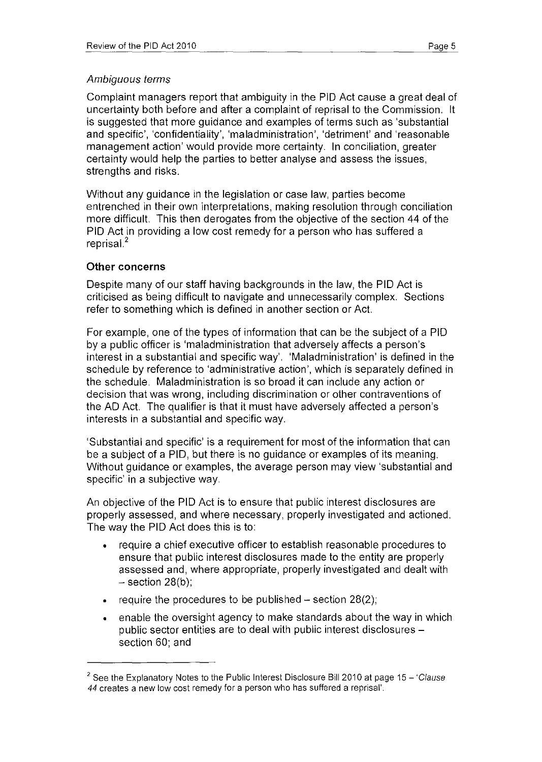Complaint managers report that ambiguity in the PID Act cause a great deal of uncertainty both before and after a complaint of reprisal to the Commission. It is suggested that more guidance and examples of terms such as 'substantial and specific', 'confidentiality', 'maladministration', 'detriment' and 'reasonable management action' would provide more certainty. In conciliation, greater certainty would help the parties to better analyse and assess the issues, strengths and risks.

Without any guidance in the legislation or case law, parties become entrenched in their own interpretations, making resolution through conciliation more difficult. This then derogates from the objective of the section 44 of the PID Act in providing a low cost remedy for a person who has suffered a reprisal<sup>2</sup>

### **Other concerns**

Despite many of our staff having backgrounds in the law, the PID Act is criticised as being difficult to navigate and unnecessarily complex. Sections refer to something which is defined in another section or Act.

For example, one of the types of information that can be the subject of a PID by a public officer is 'maladministration that adversely affects a person's interest in a substantial and specific way'. 'Maladministration' is defined in the schedule by reference to 'administrative action', which is separately defined in the schedule. Maladministration is so broad it can include any action or decision that was wrong, including discrimination or other contraventions of the AD Act. The qualifier is that it must have adversely affected a person's interests in a substantial and specific way.

'Substantial and specific' is a requirement for most of the information that can be a subject of a PIO, but there is no guidance or examples of its meaning. Without guidance or examples, the average person may view 'substantial and specific' in a subjective way.

An objective of the PIO Act is to ensure that public interest disclosures are properly assessed, and where necessary, properly investigated and actioned. The way the PID Act does this is to:

- require a chief executive officer to establish reasonable procedures to ensure that public interest disclosures made to the entity are properly assessed and, where appropriate, properly investigated and dealt with  $-$  section 28(b);
- require the procedures to be published  $-$  section 28(2);
- enable the oversight agency to make standards about the way in which public sector entities are to deal with public interest disclosures section 60; and

<sup>&</sup>lt;sup>2</sup> See the Explanatory Notes to the Public Interest Disclosure Bill 2010 at page 15 - 'Clause *44* creates a new low cost remedy for a person who has suffered a reprisal'.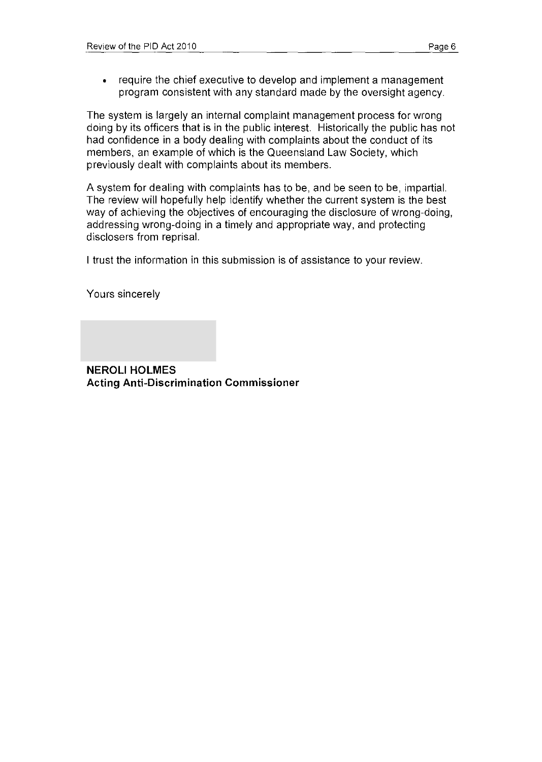• require the chief executive to develop and implement a management program consistent with any standard made by the oversight agency.

The system is largely an internal complaint management process for wrong doing by its officers that is in the public interest. Historically the public has not had confidence in a body dealing with complaints about the conduct of its members, an example of which is the Queensland Law Society, which previously dealt with complaints about its members.

A system for dealing with complaints has to be, and be seen to be, impartial. The review will hopefully help identify whether the current system is the best way of achieving the objectives of encouraging the disclosure of wrong-doing, addressing wrong-doing in a timely and appropriate way, and protecting disclosers from reprisal.

I trust the information in this submission is of assistance to your review.

Yours sincerely

**NEROLI HOLMES Acting Anti-Discrimination Commissioner**